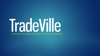# TradeVille 25 YEARS OF EXCELLENCE ON THE CAPITAL MARKET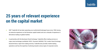### **25 years of relevant experience on the capital market**

- SSIF Tradeville SA has been operating as an authorized brokerage house since 1994, having an extensive experience on the Romanian capital market and over a decade of experience in derivatives trading on global markets.
- In partnership with the Bucharest Stock Exchange, Tradeville offers trading services on major stock exchanges worldwide: NYSE / Euronext, NASDAQ, TSX, London Stock Exchange, Deutsche Borse. Apart from trading services, Tradeville also provides market-making operations and has the expertise of advising towards various types of corporate events.

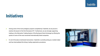### **Initiatives**

- Among some of the most prodigious projects completed by Tradeville, we are proud to mention the launch of the first Romanian ETF. Furthermore, we are strongly supporting trading on the Alternative Trading System of the Bucharest Stock Exchange by offering the quotes of some of the most renowned internationally listed companies.
- For all of the above mentioned instruments, Tradeville is currently acting as a market-maker and has intermediated the listing/ trading registration procedures.

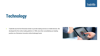# **Technology**

Tradeville was the first Romanian broker to provide trading services on mobile devices. We developed the first online trading platform in 1999, since then consolidating our leading position as a Romanian innovative online brokerage house.

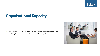## **Organisational Capacity**

SSIF Tradeville SA is headquartered in Bucharest. Our company relies on the services of a multidisciplinary team of over 40 enthusiastic capital market professionals.

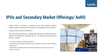# **IPOs and Secondary Market Offerings/ AeRO**

- In-depth research of companies in compliance with the legal framework overseeing regulated markets and making the relevant changes in the legal papers of such companies
- **ISSUM** Issuing the relevant reports for shareholders\*\*
- **EXTE:** Carry out the listing procedures on a regulated market (prospectus, submitting the relevant paperwork, intermediating the relationship with ASF – the Romanian Financial Supervisory Authority – and BVB)
	- \*\* The reports intended for shareholders comprise of:
	- a) the legal framework applicable to trading stocks on a regulated or a secondary market ( alternative trading system )
	- b) presentation of regulated markets and alternative trading systems (trading venues) on which companies are listed